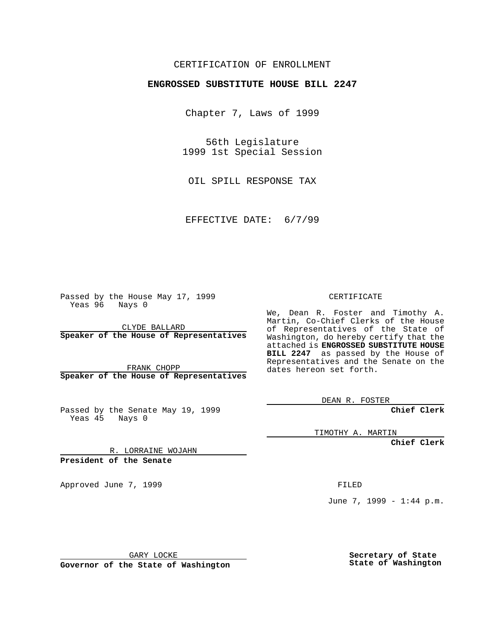## CERTIFICATION OF ENROLLMENT

## **ENGROSSED SUBSTITUTE HOUSE BILL 2247**

Chapter 7, Laws of 1999

56th Legislature 1999 1st Special Session

OIL SPILL RESPONSE TAX

EFFECTIVE DATE: 6/7/99

Passed by the House May 17, 1999 Yeas 96 Nays 0

CLYDE BALLARD **Speaker of the House of Representatives**

FRANK CHOPP **Speaker of the House of Representatives**

Passed by the Senate May 19, 1999 Yeas 45 Nays 0

CERTIFICATE

We, Dean R. Foster and Timothy A. Martin, Co-Chief Clerks of the House of Representatives of the State of Washington, do hereby certify that the attached is **ENGROSSED SUBSTITUTE HOUSE BILL 2247** as passed by the House of Representatives and the Senate on the dates hereon set forth.

DEAN R. FOSTER

**Chief Clerk**

TIMOTHY A. MARTIN

**Chief Clerk**

R. LORRAINE WOJAHN **President of the Senate**

Approved June 7, 1999 **FILED** 

June 7, 1999 - 1:44 p.m.

GARY LOCKE

**Governor of the State of Washington**

**Secretary of State State of Washington**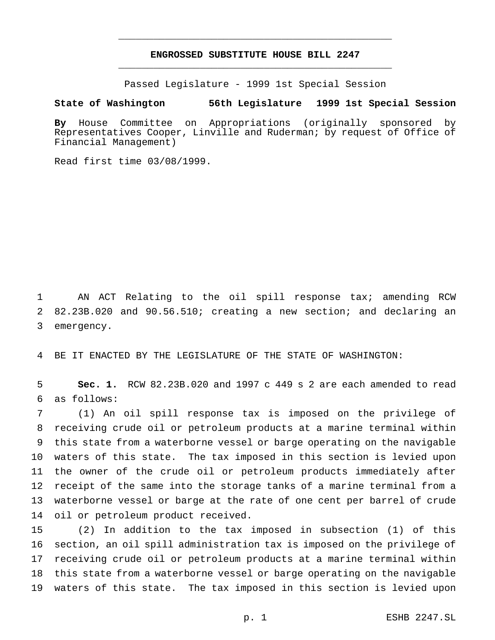## **ENGROSSED SUBSTITUTE HOUSE BILL 2247** \_\_\_\_\_\_\_\_\_\_\_\_\_\_\_\_\_\_\_\_\_\_\_\_\_\_\_\_\_\_\_\_\_\_\_\_\_\_\_\_\_\_\_\_\_\_\_

\_\_\_\_\_\_\_\_\_\_\_\_\_\_\_\_\_\_\_\_\_\_\_\_\_\_\_\_\_\_\_\_\_\_\_\_\_\_\_\_\_\_\_\_\_\_\_

Passed Legislature - 1999 1st Special Session

## **State of Washington 56th Legislature 1999 1st Special Session**

**By** House Committee on Appropriations (originally sponsored by Representatives Cooper, Linville and Ruderman; by request of Office of Financial Management)

Read first time 03/08/1999.

 AN ACT Relating to the oil spill response tax; amending RCW 82.23B.020 and 90.56.510; creating a new section; and declaring an emergency.

BE IT ENACTED BY THE LEGISLATURE OF THE STATE OF WASHINGTON:

 **Sec. 1.** RCW 82.23B.020 and 1997 c 449 s 2 are each amended to read as follows:

 (1) An oil spill response tax is imposed on the privilege of receiving crude oil or petroleum products at a marine terminal within this state from a waterborne vessel or barge operating on the navigable waters of this state. The tax imposed in this section is levied upon the owner of the crude oil or petroleum products immediately after receipt of the same into the storage tanks of a marine terminal from a waterborne vessel or barge at the rate of one cent per barrel of crude oil or petroleum product received.

 (2) In addition to the tax imposed in subsection (1) of this section, an oil spill administration tax is imposed on the privilege of receiving crude oil or petroleum products at a marine terminal within this state from a waterborne vessel or barge operating on the navigable waters of this state. The tax imposed in this section is levied upon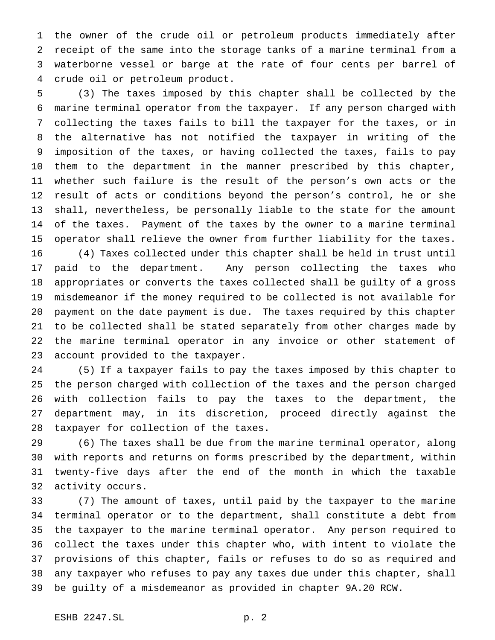the owner of the crude oil or petroleum products immediately after receipt of the same into the storage tanks of a marine terminal from a waterborne vessel or barge at the rate of four cents per barrel of crude oil or petroleum product.

 (3) The taxes imposed by this chapter shall be collected by the marine terminal operator from the taxpayer. If any person charged with collecting the taxes fails to bill the taxpayer for the taxes, or in the alternative has not notified the taxpayer in writing of the imposition of the taxes, or having collected the taxes, fails to pay them to the department in the manner prescribed by this chapter, whether such failure is the result of the person's own acts or the result of acts or conditions beyond the person's control, he or she shall, nevertheless, be personally liable to the state for the amount of the taxes. Payment of the taxes by the owner to a marine terminal operator shall relieve the owner from further liability for the taxes. (4) Taxes collected under this chapter shall be held in trust until paid to the department. Any person collecting the taxes who appropriates or converts the taxes collected shall be guilty of a gross misdemeanor if the money required to be collected is not available for payment on the date payment is due. The taxes required by this chapter to be collected shall be stated separately from other charges made by the marine terminal operator in any invoice or other statement of account provided to the taxpayer.

 (5) If a taxpayer fails to pay the taxes imposed by this chapter to the person charged with collection of the taxes and the person charged with collection fails to pay the taxes to the department, the department may, in its discretion, proceed directly against the taxpayer for collection of the taxes.

 (6) The taxes shall be due from the marine terminal operator, along with reports and returns on forms prescribed by the department, within twenty-five days after the end of the month in which the taxable activity occurs.

 (7) The amount of taxes, until paid by the taxpayer to the marine terminal operator or to the department, shall constitute a debt from the taxpayer to the marine terminal operator. Any person required to collect the taxes under this chapter who, with intent to violate the provisions of this chapter, fails or refuses to do so as required and any taxpayer who refuses to pay any taxes due under this chapter, shall be guilty of a misdemeanor as provided in chapter 9A.20 RCW.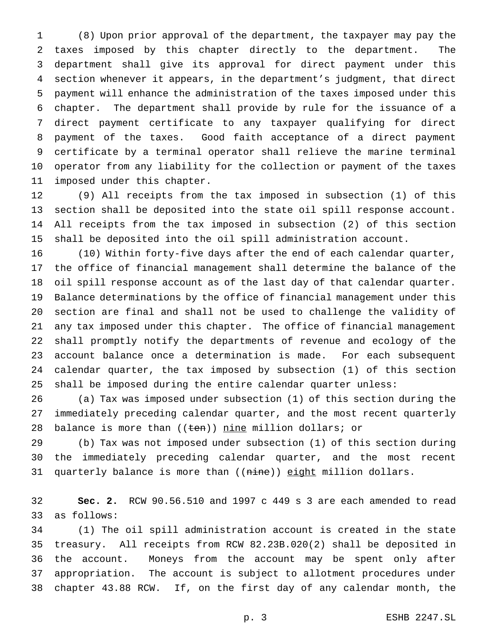(8) Upon prior approval of the department, the taxpayer may pay the taxes imposed by this chapter directly to the department. The department shall give its approval for direct payment under this section whenever it appears, in the department's judgment, that direct payment will enhance the administration of the taxes imposed under this chapter. The department shall provide by rule for the issuance of a direct payment certificate to any taxpayer qualifying for direct payment of the taxes. Good faith acceptance of a direct payment certificate by a terminal operator shall relieve the marine terminal operator from any liability for the collection or payment of the taxes imposed under this chapter.

 (9) All receipts from the tax imposed in subsection (1) of this section shall be deposited into the state oil spill response account. All receipts from the tax imposed in subsection (2) of this section shall be deposited into the oil spill administration account.

 (10) Within forty-five days after the end of each calendar quarter, the office of financial management shall determine the balance of the oil spill response account as of the last day of that calendar quarter. Balance determinations by the office of financial management under this section are final and shall not be used to challenge the validity of any tax imposed under this chapter. The office of financial management shall promptly notify the departments of revenue and ecology of the account balance once a determination is made. For each subsequent calendar quarter, the tax imposed by subsection (1) of this section shall be imposed during the entire calendar quarter unless:

 (a) Tax was imposed under subsection (1) of this section during the immediately preceding calendar quarter, and the most recent quarterly 28 balance is more than  $((\text{ten}))$  nine million dollars; or

 (b) Tax was not imposed under subsection (1) of this section during the immediately preceding calendar quarter, and the most recent 31 quarterly balance is more than ((nine)) eight million dollars.

 **Sec. 2.** RCW 90.56.510 and 1997 c 449 s 3 are each amended to read as follows:

 (1) The oil spill administration account is created in the state treasury. All receipts from RCW 82.23B.020(2) shall be deposited in the account. Moneys from the account may be spent only after appropriation. The account is subject to allotment procedures under chapter 43.88 RCW. If, on the first day of any calendar month, the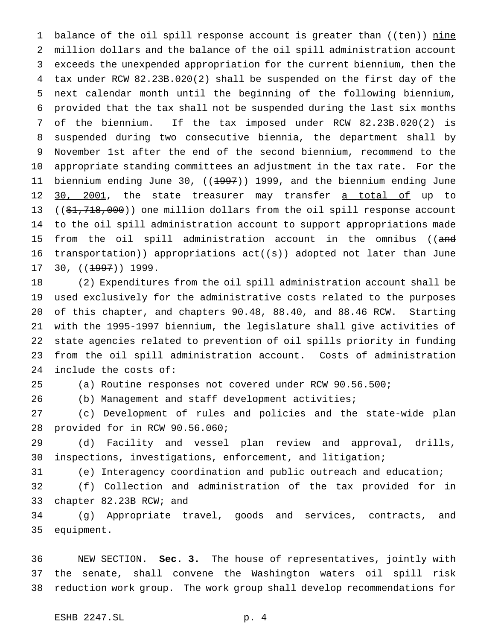1 balance of the oil spill response account is greater than  $((\text{ten}))$  nine million dollars and the balance of the oil spill administration account exceeds the unexpended appropriation for the current biennium, then the tax under RCW 82.23B.020(2) shall be suspended on the first day of the next calendar month until the beginning of the following biennium, provided that the tax shall not be suspended during the last six months of the biennium. If the tax imposed under RCW 82.23B.020(2) is suspended during two consecutive biennia, the department shall by November 1st after the end of the second biennium, recommend to the appropriate standing committees an adjustment in the tax rate. For the 11 biennium ending June 30, ((<del>1997</del>)) 1999, and the biennium ending June 12 30, 2001, the state treasurer may transfer a total of up to 13 ((\$1,718,000)) one million dollars from the oil spill response account to the oil spill administration account to support appropriations made 15 from the oil spill administration account in the omnibus ((and 16 transportation)) appropriations act((s)) adopted not later than June 17 30, ((<del>1997</del>)) 1999.

 (2) Expenditures from the oil spill administration account shall be used exclusively for the administrative costs related to the purposes of this chapter, and chapters 90.48, 88.40, and 88.46 RCW. Starting with the 1995-1997 biennium, the legislature shall give activities of state agencies related to prevention of oil spills priority in funding from the oil spill administration account. Costs of administration include the costs of:

(a) Routine responses not covered under RCW 90.56.500;

(b) Management and staff development activities;

 (c) Development of rules and policies and the state-wide plan provided for in RCW 90.56.060;

 (d) Facility and vessel plan review and approval, drills, inspections, investigations, enforcement, and litigation;

(e) Interagency coordination and public outreach and education;

 (f) Collection and administration of the tax provided for in chapter 82.23B RCW; and

 (g) Appropriate travel, goods and services, contracts, and equipment.

 NEW SECTION. **Sec. 3.** The house of representatives, jointly with the senate, shall convene the Washington waters oil spill risk reduction work group. The work group shall develop recommendations for